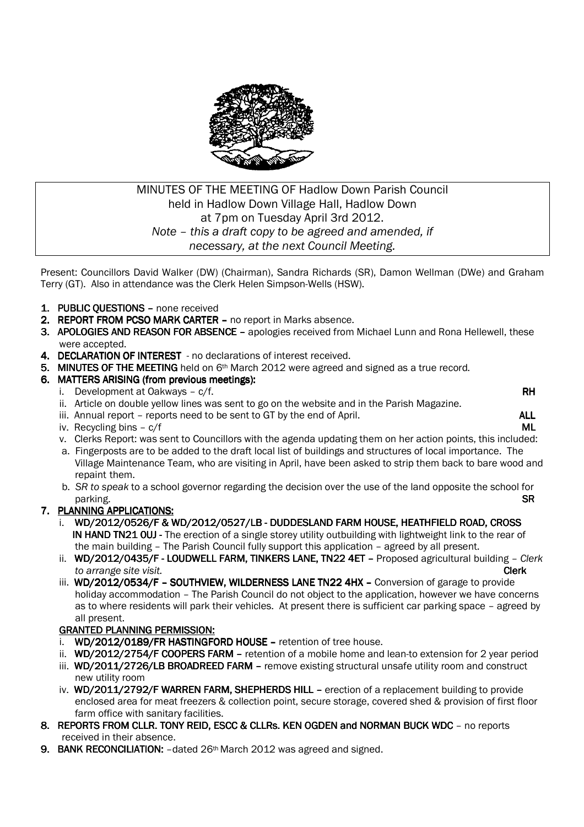

# MINUTES OF THE MEETING OF Hadlow Down Parish Council held in Hadlow Down Village Hall, Hadlow Down at 7pm on Tuesday April 3rd 2012. *Note – this a draft copy to be agreed and amended, if necessary, at the next Council Meeting.*

Present: Councillors David Walker (DW) (Chairman), Sandra Richards (SR), Damon Wellman (DWe) and Graham Terry (GT). Also in attendance was the Clerk Helen Simpson-Wells (HSW).

- 1. PUBLIC OUESTIONS none received
- 2. REPORT FROM PCSO MARK CARTER no report in Marks absence.
- 3. APOLOGIES AND REASON FOR ABSENCE apologies received from Michael Lunn and Rona Hellewell, these were accepted.
- 4. DECLARATION OF INTEREST no declarations of interest received.
- 5. MINUTES OF THE MEETING held on 6<sup>th</sup> March 2012 were agreed and signed as a true record.

### 6. MATTERS ARISING (from previous meetings):

- i. Development at Oakways  $c/f$ . RH
- ii. Article on double yellow lines was sent to go on the website and in the Parish Magazine.
- iii. Annual report reports need to be sent to GT by the end of April.  $\blacksquare$
- iv. Recycling bins  $c/f$  **ML**
- v. Clerks Report: was sent to Councillors with the agenda updating them on her action points, this included:
- a. Fingerposts are to be added to the draft local list of buildings and structures of local importance. The Village Maintenance Team, who are visiting in April, have been asked to strip them back to bare wood and repaint them.
- b. *SR to speak* to a school governor regarding the decision over the use of the land opposite the school for parking. SR

### 7. PLANNING APPLICATIONS:

- i. WD/2012/0526/F & WD/2012/0527/LB DUDDESLAND FARM HOUSE, HEATHFIELD ROAD, CROSS IN HAND TN21 OUJ - The erection of a single storey utility outbuilding with lightweight link to the rear of the main building – The Parish Council fully support this application – agreed by all present.
- ii. WD/2012/0435/F LOUDWELL FARM, TINKERS LANE, TN22 4ET Proposed agricultural building *Clerk to arrange site visit.* Clerk
- iii. WD/2012/0534/F SOUTHVIEW, WILDERNESS LANE TN22 4HX Conversion of garage to provide holiday accommodation – The Parish Council do not object to the application, however we have concerns as to where residents will park their vehicles. At present there is sufficient car parking space – agreed by all present.

### **GRANTED PLANNING PERMISSION:**

- i. WD/2012/0189/FR HASTINGFORD HOUSE retention of tree house.
- ii. WD/2012/2754/F COOPERS FARM retention of a mobile home and lean-to extension for 2 year period
- iii. WD/2011/2726/LB BROADREED FARM remove existing structural unsafe utility room and construct new utility room
- iv. WD/2011/2792/F WARREN FARM, SHEPHERDS HILL erection of a replacement building to provide enclosed area for meat freezers & collection point, secure storage, covered shed & provision of first floor farm office with sanitary facilities.
- 8. REPORTS FROM CLLR. TONY REID, ESCC & CLLRS. KEN OGDEN and NORMAN BUCK WDC no reports received in their absence.
- 9. BANK RECONCILIATION:  $-\text{data } 26th$  March 2012 was agreed and signed.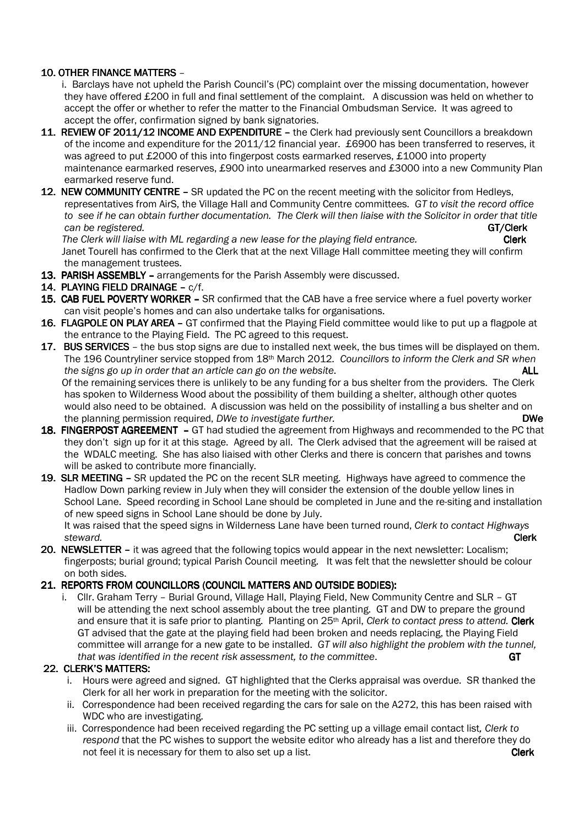### 10. OTHER FINANCE MATTERS -

 i. Barclays have not upheld the Parish Council's (PC) complaint over the missing documentation, however they have offered £200 in full and final settlement of the complaint. A discussion was held on whether to accept the offer or whether to refer the matter to the Financial Ombudsman Service. It was agreed to accept the offer, confirmation signed by bank signatories.

- 11. REVIEW OF 2011/12 INCOME AND EXPENDITURE the Clerk had previously sent Councillors a breakdown of the income and expenditure for the 2011/12 financial year. £6900 has been transferred to reserves, it was agreed to put £2000 of this into fingerpost costs earmarked reserves, £1000 into property maintenance earmarked reserves, £900 into unearmarked reserves and £3000 into a new Community Plan earmarked reserve fund.
- 12. NEW COMMUNITY CENTRE SR updated the PC on the recent meeting with the solicitor from Hedleys, representatives from AirS, the Village Hall and Community Centre committees. *GT to visit the record office to see if he can obtain further documentation. The Clerk will then liaise with the Solicitor in order that title can be registered.* GT/Clerk GT/Clerk GT/Clerk GT/Clerk GT/Clerk GT/Clerk GT/Clerk GT/Clerk GT/Clerk GT/Clerk

The Clerk will liaise with ML regarding a new lease for the playing field entrance. **Clerk Clerk**  Janet Tourell has confirmed to the Clerk that at the next Village Hall committee meeting they will confirm the management trustees.

- 13. PARISH ASSEMBLY arrangements for the Parish Assembly were discussed.
- 14. PLAYING FIELD DRAINAGE  $c/f$ .
- 15. CAB FUEL POVERTY WORKER SR confirmed that the CAB have a free service where a fuel poverty worker can visit people's homes and can also undertake talks for organisations.
- 16. FLAGPOLE ON PLAY AREA GT confirmed that the Playing Field committee would like to put up a flagpole at the entrance to the Playing Field. The PC agreed to this request.
- 17. BUS SERVICES the bus stop signs are due to installed next week, the bus times will be displayed on them. The 196 Countryliner service stopped from 18th March 2012*. Councillors to inform the Clerk and SR when the signs go up in order that an article can go on the website.* ALL Of the remaining services there is unlikely to be any funding for a bus shelter from the providers. The Clerk has spoken to Wilderness Wood about the possibility of them building a shelter, although other quotes would also need to be obtained. A discussion was held on the possibility of installing a bus shelter and on the planning permission required, *DWe to investigate further.* **DWe DWe DWe DWe**
- 18. FINGERPOST AGREEMENT GT had studied the agreement from Highways and recommended to the PC that they don't sign up for it at this stage. Agreed by all. The Clerk advised that the agreement will be raised at the WDALC meeting. She has also liaised with other Clerks and there is concern that parishes and towns will be asked to contribute more financially.
- 19. SLR MEETING SR updated the PC on the recent SLR meeting. Highways have agreed to commence the Hadlow Down parking review in July when they will consider the extension of the double yellow lines in School Lane. Speed recording in School Lane should be completed in June and the re-siting and installation of new speed signs in School Lane should be done by July.

 It was raised that the speed signs in Wilderness Lane have been turned round, *Clerk to contact Highways steward.* **Clerk** 

20. NEWSLETTER – it was agreed that the following topics would appear in the next newsletter: Localism; fingerposts; burial ground; typical Parish Council meeting. It was felt that the newsletter should be colour on both sides.

## 21. REPORTS FROM COUNCILLORS (COUNCIL MATTERS AND OUTSIDE BODIES):

i. Cllr. Graham Terry – Burial Ground, Village Hall, Playing Field, New Community Centre and SLR – GT will be attending the next school assembly about the tree planting. GT and DW to prepare the ground and ensure that it is safe prior to planting. Planting on 25th April, *Clerk to contact press to attend.* Clerk GT advised that the gate at the playing field had been broken and needs replacing, the Playing Field committee will arrange for a new gate to be installed. *GT will also highlight the problem with the tunnel, that was identified in the recent risk assessment, to the committee*. GT

### 22. CLERK'S MATTERS:

- i. Hours were agreed and signed. GT highlighted that the Clerks appraisal was overdue. SR thanked the Clerk for all her work in preparation for the meeting with the solicitor.
- ii. Correspondence had been received regarding the cars for sale on the A272, this has been raised with WDC who are investigating.
- iii. Correspondence had been received regarding the PC setting up a village email contact list*, Clerk to respond* that the PC wishes to support the website editor who already has a list and therefore they do not feel it is necessary for them to also set up a list. Clerk Clerk Clerk Clerk Clerk Clerk Clerk Clerk Clerk